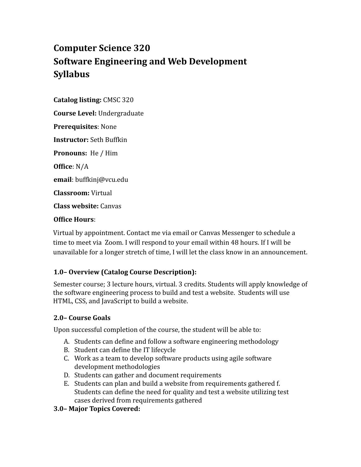# **Computer Science 320 Software Engineering and Web Development Syllabus**

**Catalog listing:** CMSC 320

**Course Level:** Undergraduate

**Prerequisites**: None

**Instructor:** Seth Buffkin

**Pronouns:** He / Him

**Office**: N/A

**email**: buffkinj@vcu.edu

**Classroom:** Virtual

**Class website:** Canvas

#### **Office Hours**:

Virtual by appointment. Contact me via email or Canvas Messenger to schedule a time to meet via Zoom. I will respond to your email within 48 hours. If I will be unavailable for a longer stretch of time, I will let the class know in an announcement.

# **1.0– Overview (Catalog Course Description):**

Semester course; 3 lecture hours, virtual. 3 credits. Students will apply knowledge of the software engineering process to build and test a website. Students will use HTML, CSS, and JavaScript to build a website.

# **2.0– Course Goals**

Upon successful completion of the course, the student will be able to:

- A. Students can define and follow a software engineering methodology
- B. Student can define the IT lifecycle
- C. Work as a team to develop software products using agile software development methodologies
- D. Students can gather and document requirements
- E. Students can plan and build a website from requirements gathered f. Students can define the need for quality and test a website utilizing test cases derived from requirements gathered
- **3.0– Major Topics Covered:**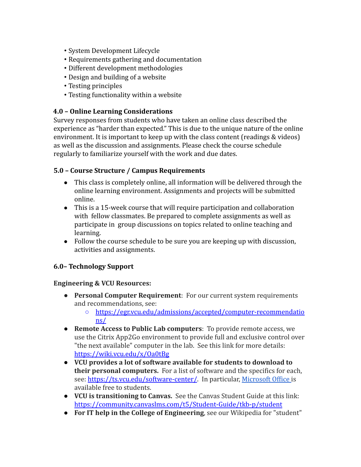- System Development Lifecycle
- Requirements gathering and documentation
- Different development methodologies
- Design and building of a website
- Testing principles
- Testing functionality within a website

#### **4.0 – Online Learning Considerations**

Survey responses from students who have taken an online class described the experience as "harder than expected." This is due to the unique nature of the online environment. It is important to keep up with the class content (readings & videos) as well as the discussion and assignments. Please check the course schedule regularly to familiarize yourself with the work and due dates.

### **5.0 – Course Structure / Campus Requirements**

- This class is completely online, all information will be delivered through the online learning environment. Assignments and projects will be submitted online.
- This is a 15-week course that will require participation and collaboration with fellow classmates. Be prepared to complete assignments as well as participate in group discussions on topics related to online teaching and learning.
- Follow the course schedule to be sure you are keeping up with discussion, activities and assignments.

# **6.0– Technology Support**

#### **Engineering & VCU Resources:**

- **Personal Computer Requirement**: For our current system requirements and recommendations, see:
	- https://egr.vcu.edu/admissions/accepted/computer-recommendatio ns/
- **Remote Access to Public Lab computers**: To provide remote access, we use the Citrix App2Go environment to provide full and exclusive control over "the next available" computer in the lab. See this link for more details: https://wiki.vcu.edu/x/Oa0tBg
- **VCU provides a lot of software available for students to download to their personal computers.** For a list of software and the specifics for each, see: https://ts.vcu.edu/software-center/. In particular, Microsoft Office is available free to students.
- **VCU is transitioning to Canvas.** See the Canvas Student Guide at this link: https://community.canvaslms.com/t5/Student-Guide/tkb-p/student
- **For IT help in the College of Engineering**, see our Wikipedia for "student"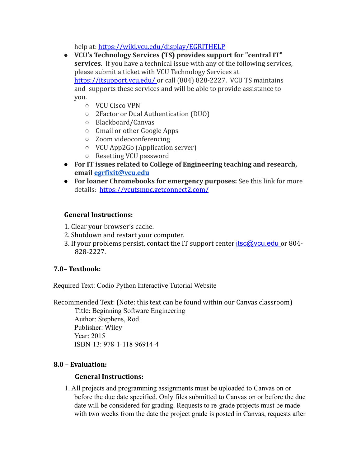help at: https://wiki.vcu.edu/display/EGRITHELP

- **VCU's Technology Services (TS) provides support for "central IT" services**. If you have a technical issue with any of the following services, please submit a ticket with VCU Technology Services at https://itsupport.vcu.edu/ or call (804) 828-2227. VCU TS maintains and supports these services and will be able to provide assistance to you.
	- VCU Cisco VPN
	- 2Factor or Dual Authentication (DUO)
	- Blackboard/Canvas
	- Gmail or other Google Apps
	- Zoom videoconferencing
	- VCU App2Go (Application server)
	- Resetting VCU password
- **For IT issues related to College of Engineering teaching and research, email egrfixit@vcu.edu**
- **For loaner Chromebooks for emergency purposes:** See this link for more details: https://vcutsmpc.getconnect2.com/

### **General Instructions:**

- 1. Clear your browser's cache.
- 2. Shutdown and restart your computer.
- 3. If your problems persist, contact the IT support center itsc@vcu.edu or 804-828-2227.

# **7.0– Textbook:**

Required Text: Codio Python Interactive Tutorial Website

Recommended Text: (Note: this text can be found within our Canvas classroom)

Title: Beginning Software Engineering Author: Stephens, Rod. Publisher: Wiley Year: 2015 ISBN-13: 978-1-118-96914-4

#### **8.0 – Evaluation:**

#### **General Instructions:**

1. All projects and programming assignments must be uploaded to Canvas on or before the due date specified. Only files submitted to Canvas on or before the due date will be considered for grading. Requests to re-grade projects must be made with two weeks from the date the project grade is posted in Canvas, requests after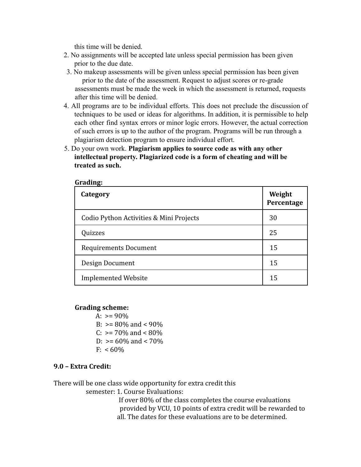this time will be denied.

- 2. No assignments will be accepted late unless special permission has been given prior to the due date.
- 3. No makeup assessments will be given unless special permission has been given prior to the date of the assessment. Request to adjust scores or re-grade assessments must be made the week in which the assessment is returned, requests after this time will be denied.
- 4. All programs are to be individual efforts. This does not preclude the discussion of techniques to be used or ideas for algorithms. In addition, it is permissible to help each other find syntax errors or minor logic errors. However, the actual correction of such errors is up to the author of the program. Programs will be run through a plagiarism detection program to ensure individual effort.
- 5. Do your own work. **Plagiarism applies to source code as with any other intellectual property. Plagiarized code is a form of cheating and will be treated as such.**

| Category                                | Weight<br>Percentage |
|-----------------------------------------|----------------------|
| Codio Python Activities & Mini Projects | 30                   |
| Quizzes                                 | 25                   |
| <b>Requirements Document</b>            | 15                   |
| Design Document                         | 15                   |
| <b>Implemented Website</b>              | 15                   |

**Grading:**

#### **Grading scheme:**

A:  $> = 90\%$ B:  $> = 80\%$  and  $< 90\%$ C:  $> = 70\%$  and  $< 80\%$  $D: = 60\%$  and  $\lt 70\%$  $F: < 60\%$ 

#### **9.0 – Extra Credit:**

There will be one class wide opportunity for extra credit this

semester: 1. Course Evaluations:

If over 80% of the class completes the course evaluations provided by VCU, 10 points of extra credit will be rewarded to all. The dates for these evaluations are to be determined.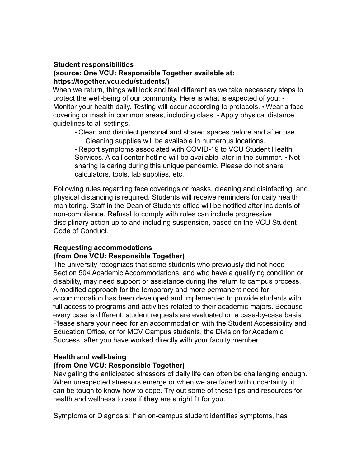#### **Student responsibilities (source: One VCU: Responsible Together available at: https://together.vcu.edu/students/)**

When we return, things will look and feel different as we take necessary steps to protect the well-being of our community. Here is what is expected of you: • Monitor your health daily. Testing will occur according to protocols. • Wear a face covering or mask in common areas, including class. • Apply physical distance guidelines to all settings.

• Clean and disinfect personal and shared spaces before and after use. Cleaning supplies will be available in numerous locations.

• Report symptoms associated with COVID-19 to VCU Student Health Services. A call center hotline will be available later in the summer. • Not sharing is caring during this unique pandemic. Please do not share calculators, tools, lab supplies, etc.

Following rules regarding face coverings or masks, cleaning and disinfecting, and physical distancing is required. Students will receive reminders for daily health monitoring. Staff in the Dean of Students office will be notified after incidents of non-compliance. Refusal to comply with rules can include progressive disciplinary action up to and including suspension, based on the VCU Student Code of Conduct.

# **Requesting accommodations**

#### **(from One VCU: Responsible Together)**

The university recognizes that some students who previously did not need Section 504 Academic Accommodations, and who have a qualifying condition or disability, may need support or assistance during the return to campus process. A modified approach for the temporary and more permanent need for accommodation has been developed and implemented to provide students with full access to programs and activities related to their academic majors. Because every case is different, student requests are evaluated on a case-by-case basis. Please share your need for an accommodation with the Student Accessibility and Education Office, or for MCV Campus students, the Division for Academic Success, after you have worked directly with your faculty member.

#### **Health and well-being**

#### **(from One VCU: Responsible Together)**

Navigating the anticipated stressors of daily life can often be challenging enough. When unexpected stressors emerge or when we are faced with uncertainty, it can be tough to know how to cope. Try out some of these tips and resources for health and wellness to see if **they** are a right fit for you.

Symptoms or Diagnosis: If an on-campus student identifies symptoms, has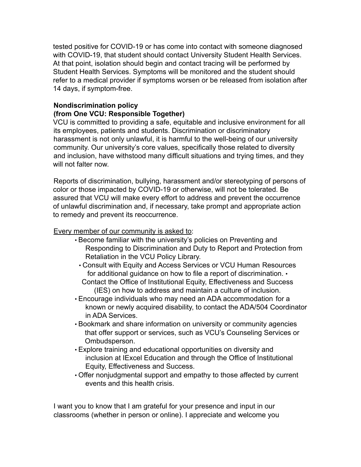tested positive for COVID-19 or has come into contact with someone diagnosed with COVID-19, that student should contact University Student Health Services. At that point, isolation should begin and contact tracing will be performed by Student Health Services. Symptoms will be monitored and the student should refer to a medical provider if symptoms worsen or be released from isolation after 14 days, if symptom-free.

### **Nondiscrimination policy**

#### **(from One VCU: Responsible Together)**

VCU is committed to providing a safe, equitable and inclusive environment for all its employees, patients and students. Discrimination or discriminatory harassment is not only unlawful, it is harmful to the well-being of our university community. Our university's core values, specifically those related to diversity and inclusion, have withstood many difficult situations and trying times, and they will not falter now.

Reports of discrimination, bullying, harassment and/or stereotyping of persons of color or those impacted by COVID-19 or otherwise, will not be tolerated. Be assured that VCU will make every effort to address and prevent the occurrence of unlawful discrimination and, if necessary, take prompt and appropriate action to remedy and prevent its reoccurrence.

Every member of our community is asked to:

- Become familiar with the university's policies on Preventing and Responding to Discrimination and Duty to Report and Protection from Retaliation in the VCU Policy Library.
	- Consult with Equity and Access Services or VCU Human Resources for additional guidance on how to file a report of discrimination. • Contact the Office of Institutional Equity, Effectiveness and Success (IES) on how to address and maintain a culture of inclusion.
- Encourage individuals who may need an ADA accommodation for a known or newly acquired disability, to contact the ADA/504 Coordinator in ADA Services.
- Bookmark and share information on university or community agencies that offer support or services, such as VCU's Counseling Services or Ombudsperson.
- Explore training and educational opportunities on diversity and inclusion at IExcel Education and through the Office of Institutional Equity, Effectiveness and Success.
- Offer nonjudgmental support and empathy to those affected by current events and this health crisis.

I want you to know that I am grateful for your presence and input in our classrooms (whether in person or online). I appreciate and welcome you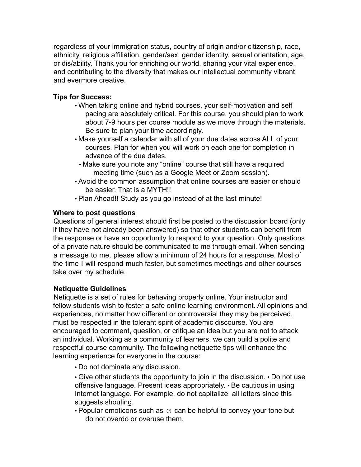regardless of your immigration status, country of origin and/or citizenship, race, ethnicity, religious affiliation, gender/sex, gender identity, sexual orientation, age, or dis/ability. Thank you for enriching our world, sharing your vital experience, and contributing to the diversity that makes our intellectual community vibrant and evermore creative.

# **Tips for Success:**

- When taking online and hybrid courses, your self-motivation and self pacing are absolutely critical. For this course, you should plan to work about 7-9 hours per course module as we move through the materials. Be sure to plan your time accordingly.
- Make yourself a calendar with all of your due dates across ALL of your courses. Plan for when you will work on each one for completion in advance of the due dates.
	- Make sure you note any "online" course that still have a required meeting time (such as a Google Meet or Zoom session).
- Avoid the common assumption that online courses are easier or should be easier. That is a MYTH!!
- Plan Ahead!! Study as you go instead of at the last minute!

# **Where to post questions**

Questions of general interest should first be posted to the discussion board (only if they have not already been answered) so that other students can benefit from the response or have an opportunity to respond to your question. Only questions of a private nature should be communicated to me through email. When sending a message to me, please allow a minimum of 24 hours for a response. Most of the time I will respond much faster, but sometimes meetings and other courses take over my schedule.

# **Netiquette Guidelines**

Netiquette is a set of rules for behaving properly online. Your instructor and fellow students wish to foster a safe online learning environment. All opinions and experiences, no matter how different or controversial they may be perceived, must be respected in the tolerant spirit of academic discourse. You are encouraged to comment, question, or critique an idea but you are not to attack an individual. Working as a community of learners, we can build a polite and respectful course community. The following netiquette tips will enhance the learning experience for everyone in the course:

• Do not dominate any discussion.

• Give other students the opportunity to join in the discussion. • Do not use offensive language. Present ideas appropriately. • Be cautious in using Internet language. For example, do not capitalize all letters since this suggests shouting.

• Popular emoticons such as  $\odot$  can be helpful to convey your tone but do not overdo or overuse them.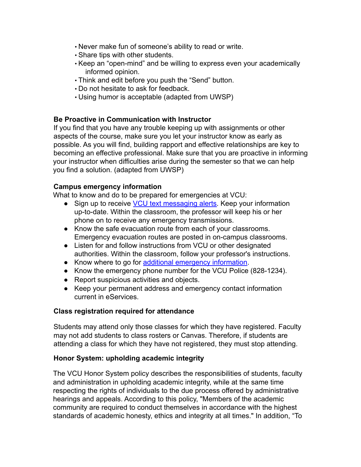- Never make fun of someone's ability to read or write.
- Share tips with other students.
- Keep an "open-mind" and be willing to express even your academically informed opinion.
- Think and edit before you push the "Send" button.
- Do not hesitate to ask for feedback.
- Using humor is acceptable (adapted from UWSP)

### **Be Proactive in Communication with Instructor**

If you find that you have any trouble keeping up with assignments or other aspects of the course, make sure you let your instructor know as early as possible. As you will find, building rapport and effective relationships are key to becoming an effective professional. Make sure that you are proactive in informing your instructor when difficulties arise during the semester so that we can help you find a solution. (adapted from UWSP)

### **Campus emergency information**

What to know and do to be prepared for emergencies at VCU:

- Sign up to receive VCU text messaging alerts. Keep your information up-to-date. Within the classroom, the professor will keep his or her phone on to receive any emergency transmissions.
- Know the safe evacuation route from each of your classrooms. Emergency evacuation routes are posted in on-campus classrooms.
- Listen for and follow instructions from VCU or other designated authorities. Within the classroom, follow your professor's instructions.
- Know where to go for additional emergency information.
- Know the emergency phone number for the VCU Police (828-1234).
- Report suspicious activities and objects.
- Keep your permanent address and emergency contact information current in eServices.

# **Class registration required for attendance**

Students may attend only those classes for which they have registered. Faculty may not add students to class rosters or Canvas. Therefore, if students are attending a class for which they have not registered, they must stop attending.

# **Honor System: upholding academic integrity**

The VCU Honor System policy describes the responsibilities of students, faculty and administration in upholding academic integrity, while at the same time respecting the rights of individuals to the due process offered by administrative hearings and appeals. According to this policy, "Members of the academic community are required to conduct themselves in accordance with the highest standards of academic honesty, ethics and integrity at all times." In addition, "To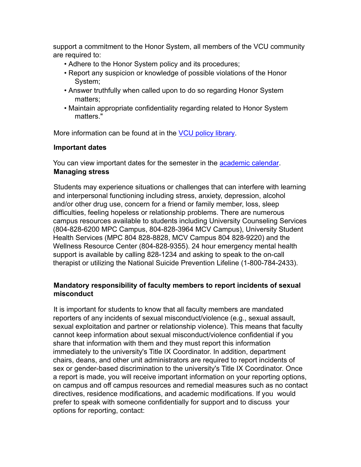support a commitment to the Honor System, all members of the VCU community are required to:

- Adhere to the Honor System policy and its procedures;
- Report any suspicion or knowledge of possible violations of the Honor System;
- Answer truthfully when called upon to do so regarding Honor System matters;
- Maintain appropriate confidentiality regarding related to Honor System matters."

More information can be found at in the VCU policy library.

# **Important dates**

You can view important dates for the semester in the academic calendar. **Managing stress**

Students may experience situations or challenges that can interfere with learning and interpersonal functioning including stress, anxiety, depression, alcohol and/or other drug use, concern for a friend or family member, loss, sleep difficulties, feeling hopeless or relationship problems. There are numerous campus resources available to students including University Counseling Services (804-828-6200 MPC Campus, 804-828-3964 MCV Campus), University Student Health Services (MPC 804 828-8828, MCV Campus 804 828-9220) and the Wellness Resource Center (804-828-9355). 24 hour emergency mental health support is available by calling 828-1234 and asking to speak to the on-call therapist or utilizing the National Suicide Prevention Lifeline (1-800-784-2433).

# **Mandatory responsibility of faculty members to report incidents of sexual misconduct**

It is important for students to know that all faculty members are mandated reporters of any incidents of sexual misconduct/violence (e.g., sexual assault, sexual exploitation and partner or relationship violence). This means that faculty cannot keep information about sexual misconduct/violence confidential if you share that information with them and they must report this information immediately to the university's Title IX Coordinator. In addition, department chairs, deans, and other unit administrators are required to report incidents of sex or gender-based discrimination to the university's Title IX Coordinator. Once a report is made, you will receive important information on your reporting options, on campus and off campus resources and remedial measures such as no contact directives, residence modifications, and academic modifications. If you would prefer to speak with someone confidentially for support and to discuss your options for reporting, contact: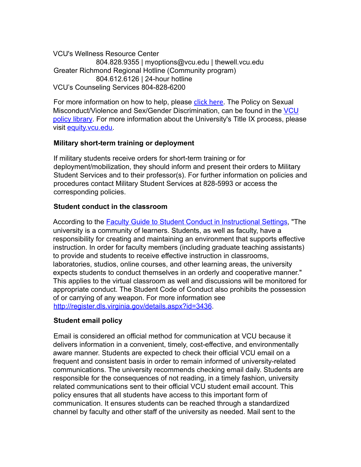VCU's Wellness Resource Center 804.828.9355 | myoptions@vcu.edu | thewell.vcu.edu Greater Richmond Regional Hotline (Community program) 804.612.6126 | 24-hour hotline VCU's Counseling Services 804-828-6200

For more information on how to help, please click here. The Policy on Sexual Misconduct/Violence and Sex/Gender Discrimination, can be found in the VCU policy library. For more information about the University's Title IX process, please visit equity.vcu.edu.

# **Military short-term training or deployment**

If military students receive orders for short-term training or for deployment/mobilization, they should inform and present their orders to Military Student Services and to their professor(s). For further information on policies and procedures contact Military Student Services at 828-5993 or access the corresponding policies.

### **Student conduct in the classroom**

According to the Faculty Guide to Student Conduct in Instructional Settings, "The university is a community of learners. Students, as well as faculty, have a responsibility for creating and maintaining an environment that supports effective instruction. In order for faculty members (including graduate teaching assistants) to provide and students to receive effective instruction in classrooms, laboratories, studios, online courses, and other learning areas, the university expects students to conduct themselves in an orderly and cooperative manner." This applies to the virtual classroom as well and discussions will be monitored for appropriate conduct. The Student Code of Conduct also prohibits the possession of or carrying of any weapon. For more information see http://register.dls.virginia.gov/details.aspx?id=3436.

#### **Student email policy**

Email is considered an official method for communication at VCU because it delivers information in a convenient, timely, cost-effective, and environmentally aware manner. Students are expected to check their official VCU email on a frequent and consistent basis in order to remain informed of university-related communications. The university recommends checking email daily. Students are responsible for the consequences of not reading, in a timely fashion, university related communications sent to their official VCU student email account. This policy ensures that all students have access to this important form of communication. It ensures students can be reached through a standardized channel by faculty and other staff of the university as needed. Mail sent to the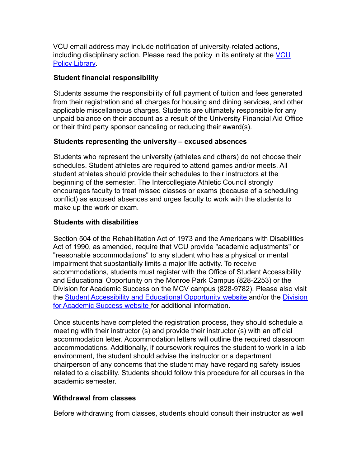VCU email address may include notification of university-related actions, including disciplinary action. Please read the policy in its entirety at the VCU **Policy Library** 

# **Student financial responsibility**

Students assume the responsibility of full payment of tuition and fees generated from their registration and all charges for housing and dining services, and other applicable miscellaneous charges. Students are ultimately responsible for any unpaid balance on their account as a result of the University Financial Aid Office or their third party sponsor canceling or reducing their award(s).

# **Students representing the university – excused absences**

Students who represent the university (athletes and others) do not choose their schedules. Student athletes are required to attend games and/or meets. All student athletes should provide their schedules to their instructors at the beginning of the semester. The Intercollegiate Athletic Council strongly encourages faculty to treat missed classes or exams (because of a scheduling conflict) as excused absences and urges faculty to work with the students to make up the work or exam.

# **Students with disabilities**

Section 504 of the Rehabilitation Act of 1973 and the Americans with Disabilities Act of 1990, as amended, require that VCU provide "academic adjustments" or "reasonable accommodations" to any student who has a physical or mental impairment that substantially limits a major life activity. To receive accommodations, students must register with the Office of Student Accessibility and Educational Opportunity on the Monroe Park Campus (828-2253) or the Division for Academic Success on the MCV campus (828-9782). Please also visit the Student Accessibility and Educational Opportunity website and/or the Division for Academic Success website for additional information.

Once students have completed the registration process, they should schedule a meeting with their instructor (s) and provide their instructor (s) with an official accommodation letter. Accommodation letters will outline the required classroom accommodations. Additionally, if coursework requires the student to work in a lab environment, the student should advise the instructor or a department chairperson of any concerns that the student may have regarding safety issues related to a disability. Students should follow this procedure for all courses in the academic semester.

# **Withdrawal from classes**

Before withdrawing from classes, students should consult their instructor as well